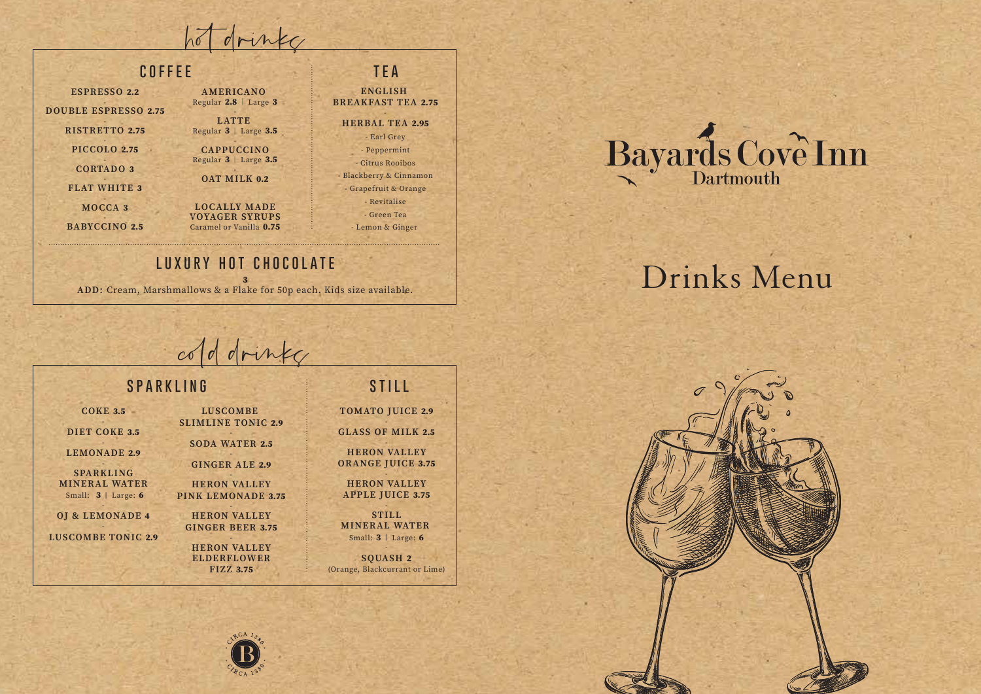hot drinke

 $0.75$ 

## **COFFEE**

| <b>ESPRESSO 2.2</b><br><b>OUBLE ESPRESSO 2.75</b><br><b>RISTRETTO 2.75</b> | AMERICANO<br>Regular $2.8$   Large 3<br><b>LATTE</b><br>Regular 3   Large 3.5 |
|----------------------------------------------------------------------------|-------------------------------------------------------------------------------|
| <b>PICCOLO 2.75</b><br><b>CORTADO 3</b><br><b>FLAT WHITE 3</b>             | <b>CAPPUCCINO</b><br>Regular 3   Large 3.5<br><b>OAT MILK 0.2</b>             |
| MOCCA <sub>3</sub><br><b>BABYCCINO 2.5</b>                                 | <b>LOCALLY MADE</b><br><b>VOYAGER SYRUPS</b><br>Caramel or Vanilla 0.75       |

D

### TEA

**ENGLISH BREAKFAST TEA 2.75** 

#### HERBAL TEA 2.95 Earl Grey

- Peppermint - Citrus Rooibos Blackberry & Cinnamon - Grapefruit & Orange Revitalise - Green Tea Lemon & Ginger

## LUXURY HOT CHOCOLATE

ADD: Cream, Marshmallows & a Flake for 50p each. Kids size available.

Bayards Cove Inn

# Drinks Menu



## cold drinky

## SPARKLING

 $COKE$  3.5 **LUSCOMBE** DIET COKE 3.5 **LEMONADE 2.9 SPARKLING MINERAL WATER** Small: 3 | Large: 6 OI & LEMONADE 4 **LUSCOMBE TONIC 2.9** 

**STILL** 

**TOMATO JUICE 2.9 GLASS OF MILK 2.5** 

**HERON VALLEY ORANGE IUICE 3.75** 

**HERON VALLEY APPLE JUICE 3.75** 

STILL. MINERAL WATER Small: 3 | Large: 6

SOUASH<sub>2</sub> (Orange, Blackcurrant or Lime)

### **SLIMLINE TONIC 2.9 SODA WATER 2.5** GINGER ALE 2.9 **HERON VALLEY** PINK LEMONADE 3.75 **HERON VALLEY GINGER BEER 3.75**

**ELDERFLOWER** 

**HERON VALLEY FIZZ 3.75**